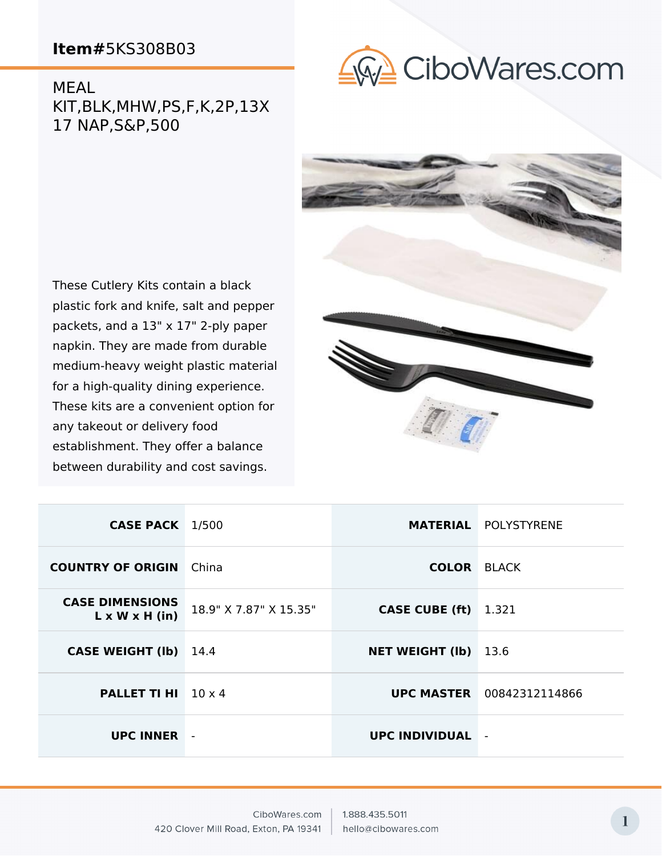**GO CiboWares.com** 

MEAL KIT,BLK,MHW,PS,F,K,2P,13X 17 NAP,S&P,500



These Cutlery Kits contain a black plastic fork and knife, salt and pepper packets, and a 13" x 17" 2-ply paper napkin. They are made from durable medium-heavy weight plastic material for a high-quality dining experience. These kits are a convenient option for any takeout or delivery food establishment. They offer a balance between durability and cost savings.

| <b>CASE PACK</b> 1/500                               |                        |                             | <b>MATERIAL POLYSTYRENE</b>      |
|------------------------------------------------------|------------------------|-----------------------------|----------------------------------|
| <b>COUNTRY OF ORIGIN</b> China                       |                        | <b>COLOR BLACK</b>          |                                  |
| <b>CASE DIMENSIONS</b><br>$L \times W \times H$ (in) | 18.9" X 7.87" X 15.35" | <b>CASE CUBE (ft)</b> 1.321 |                                  |
| <b>CASE WEIGHT (Ib)</b>                              | 14.4                   | <b>NET WEIGHT (Ib)</b>      | 13.6                             |
| <b>PALLET TI HI</b> $10 \times 4$                    |                        |                             | <b>UPC MASTER</b> 00842312114866 |
| <b>UPC INNER</b>                                     |                        | <b>UPC INDIVIDUAL</b>       |                                  |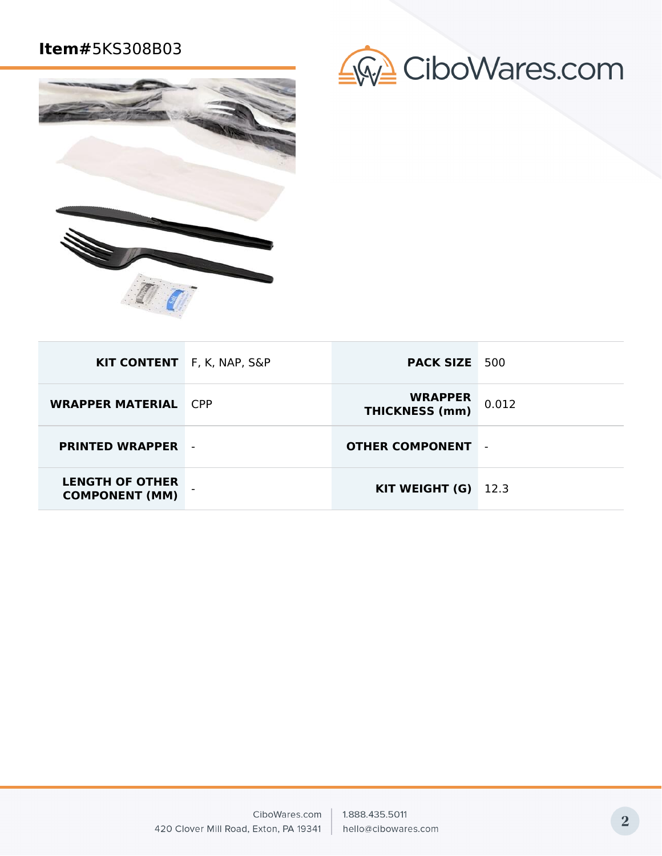

|  | GW CiboWares.com |
|--|------------------|
|--|------------------|

| KIT CONTENT F, K, NAP, S&P                      | <b>PACK SIZE</b> 500                    |                |
|-------------------------------------------------|-----------------------------------------|----------------|
| <b>WRAPPER MATERIAL CPP</b>                     | <b>WRAPPER</b><br><b>THICKNESS (mm)</b> | 0.012          |
| <b>PRINTED WRAPPER</b>                          | <b>OTHER COMPONENT</b>                  | $\blacksquare$ |
| <b>LENGTH OF OTHER</b><br><b>COMPONENT (MM)</b> | KIT WEIGHT $(G)$ 12.3                   |                |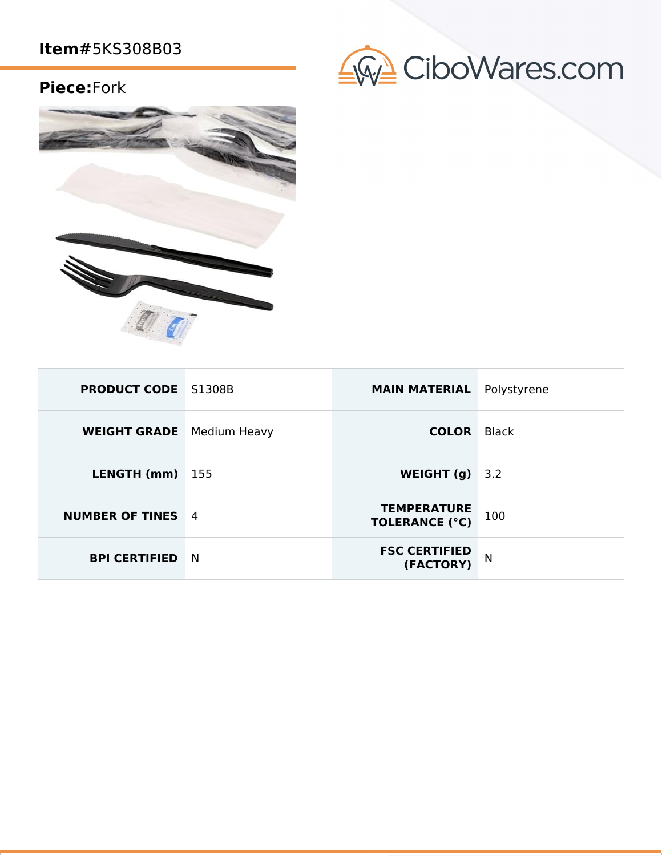## **Piece:**Fork





| <b>PRODUCT CODE</b> S1308B       |   | <b>MAIN MATERIAL</b>                        | Polystyrene  |
|----------------------------------|---|---------------------------------------------|--------------|
| <b>WEIGHT GRADE</b> Medium Heavy |   | <b>COLOR</b>                                | <b>Black</b> |
| <b>LENGTH (mm)</b> $155$         |   | WEIGHT $(g)$                                | 3.2          |
| <b>NUMBER OF TINES</b> 4         |   | <b>TEMPERATURE</b><br><b>TOLERANCE (°C)</b> | 100          |
| <b>BPI CERTIFIED</b>             | N | <b>FSC CERTIFIED</b><br>(FACTORY)           | N            |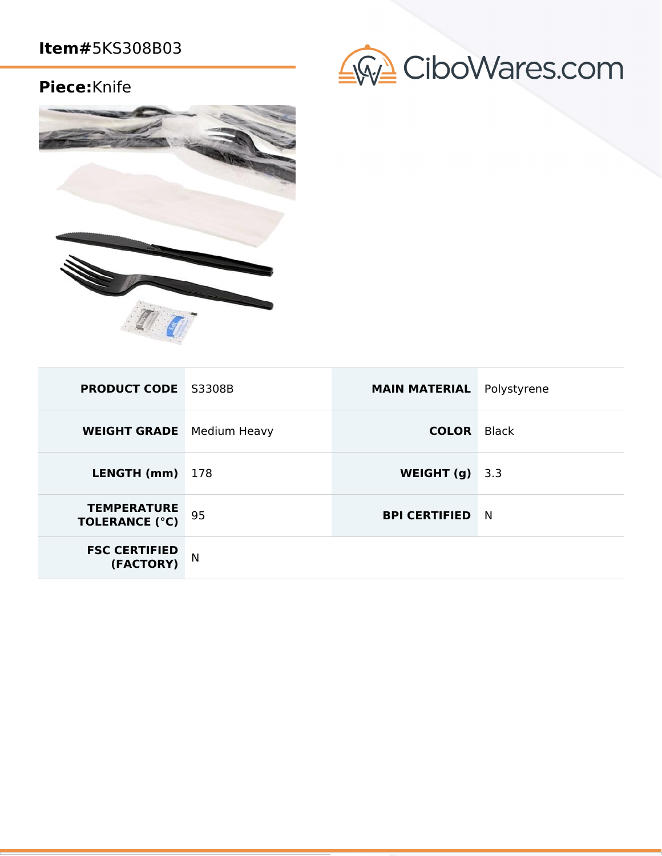## **Piece:**Knife





| <b>PRODUCT CODE</b> S3308B                  |     | <b>MAIN MATERIAL</b> | Polystyrene  |
|---------------------------------------------|-----|----------------------|--------------|
| <b>WEIGHT GRADE</b> Medium Heavy            |     | <b>COLOR</b>         | <b>Black</b> |
| LENGTH (mm)                                 | 178 | WEIGHT $(g)$         | 3.3          |
| <b>TEMPERATURE</b><br><b>TOLERANCE (°C)</b> | 95  | <b>BPI CERTIFIED</b> | <b>N</b>     |
| <b>FSC CERTIFIED</b><br>(FACTORY)           | N   |                      |              |